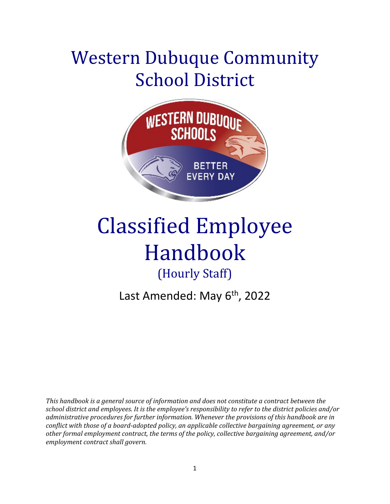# Western Dubuque Community School District



# Classified Employee Handbook (Hourly Staff)

Last Amended: May 6<sup>th</sup>, 2022

*This handbook is a general source of information and does not constitute a contract between the school district and employees. It is the employee's responsibility to refer to the district policies and/or administrative procedures for further information. Whenever the provisions of this handbook are in conflict with those of a board‐adopted policy, an applicable collective bargaining agreement, or any other formal employment contract, the terms of the policy, collective bargaining agreement, and/or employment contract shall govern.*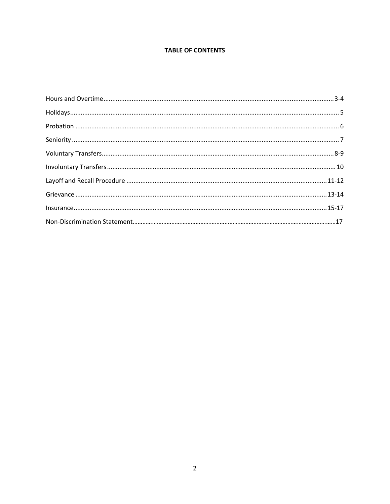#### **TABLE OF CONTENTS**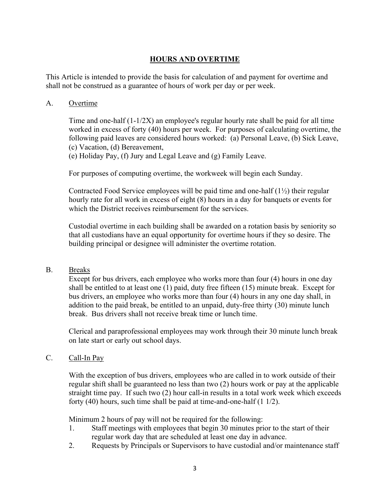## **HOURS AND OVERTIME**

This Article is intended to provide the basis for calculation of and payment for overtime and shall not be construed as a guarantee of hours of work per day or per week.

#### A. Overtime

Time and one-half (1-1/2X) an employee's regular hourly rate shall be paid for all time worked in excess of forty (40) hours per week. For purposes of calculating overtime, the following paid leaves are considered hours worked: (a) Personal Leave, (b) Sick Leave, (c) Vacation, (d) Bereavement,

(e) Holiday Pay, (f) Jury and Legal Leave and (g) Family Leave.

For purposes of computing overtime, the workweek will begin each Sunday.

Contracted Food Service employees will be paid time and one-half  $(1\frac{1}{2})$  their regular hourly rate for all work in excess of eight (8) hours in a day for banquets or events for which the District receives reimbursement for the services.

Custodial overtime in each building shall be awarded on a rotation basis by seniority so that all custodians have an equal opportunity for overtime hours if they so desire. The building principal or designee will administer the overtime rotation.

#### B. Breaks

Except for bus drivers, each employee who works more than four (4) hours in one day shall be entitled to at least one (1) paid, duty free fifteen (15) minute break. Except for bus drivers, an employee who works more than four (4) hours in any one day shall, in addition to the paid break, be entitled to an unpaid, duty-free thirty (30) minute lunch break. Bus drivers shall not receive break time or lunch time.

Clerical and paraprofessional employees may work through their 30 minute lunch break on late start or early out school days.

#### C. Call-In Pay

With the exception of bus drivers, employees who are called in to work outside of their regular shift shall be guaranteed no less than two (2) hours work or pay at the applicable straight time pay. If such two (2) hour call-in results in a total work week which exceeds forty (40) hours, such time shall be paid at time-and-one-half (1 1/2).

Minimum 2 hours of pay will not be required for the following:

- 1. Staff meetings with employees that begin 30 minutes prior to the start of their regular work day that are scheduled at least one day in advance.
- 2. Requests by Principals or Supervisors to have custodial and/or maintenance staff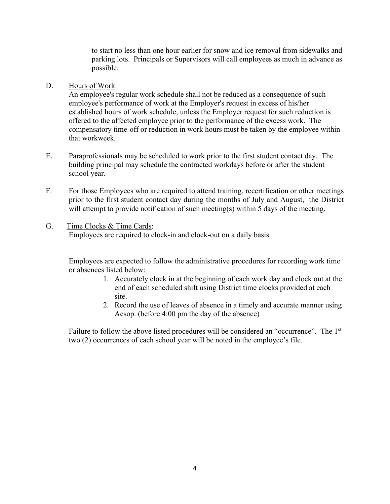to start no less than one hour earlier for snow and ice removal from sidewalks and parking lots. Principals or Supervisors will call employees as much in advance as possible.

#### D. Hours of Work

An employee's regular work schedule shall not be reduced as a consequence of such employee's performance of work at the Employer's request in excess of his/her established hours of work schedule, unless the Employer request for such reduction is offered to the affected employee prior to the performance of the excess work. The compensatory time-off or reduction in work hours must be taken by the employee within that workweek.

- E. Paraprofessionals may be scheduled to work prior to the first student contact day. The building principal may schedule the contracted workdays before or after the student school year.
- F. For those Employees who are required to attend training, recertification or other meetings prior to the first student contact day during the months of July and August, the District will attempt to provide notification of such meeting(s) within 5 days of the meeting.

#### G. Time Clocks & Time Cards: Employees are required to clock-in and clock-out on a daily basis.

Employees are expected to follow the administrative procedures for recording work time or absences listed below:

- 1. Accurately clock in at the beginning of each work day and clock out at the end of each scheduled shift using District time clocks provided at each site.
- 2. Record the use of leaves of absence in a timely and accurate manner using Aesop. (before 4:00 pm the day of the absence)

Failure to follow the above listed procedures will be considered an "occurrence". The 1<sup>st</sup> two (2) occurrences of each school year will be noted in the employee's file.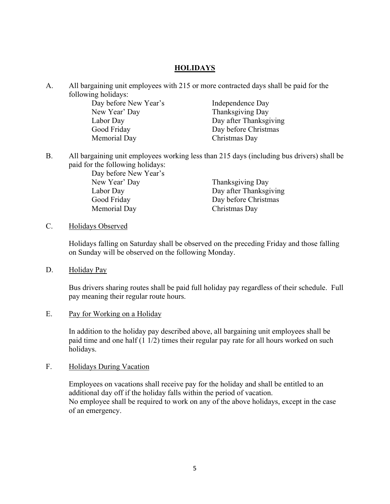#### **HOLIDAYS**

A. All bargaining unit employees with 215 or more contracted days shall be paid for the following holidays:

Day before New Year's Independence Day New Year' Day Thanksgiving Day Labor Day **Day after Thanksgiving** Good Friday Day before Christmas Memorial Day Christmas Day

B. All bargaining unit employees working less than 215 days (including bus drivers) shall be paid for the following holidays:

> Day before New Year's New Year' Day Thanksgiving Day Good Friday Day before Christmas Memorial Day Christmas Day

Labor Day Day after Thanksgiving

#### C. Holidays Observed

Holidays falling on Saturday shall be observed on the preceding Friday and those falling on Sunday will be observed on the following Monday.

#### D. Holiday Pay

Bus drivers sharing routes shall be paid full holiday pay regardless of their schedule. Full pay meaning their regular route hours.

#### E. Pay for Working on a Holiday

In addition to the holiday pay described above, all bargaining unit employees shall be paid time and one half (1 1/2) times their regular pay rate for all hours worked on such holidays.

#### F. Holidays During Vacation

Employees on vacations shall receive pay for the holiday and shall be entitled to an additional day off if the holiday falls within the period of vacation. No employee shall be required to work on any of the above holidays, except in the case of an emergency.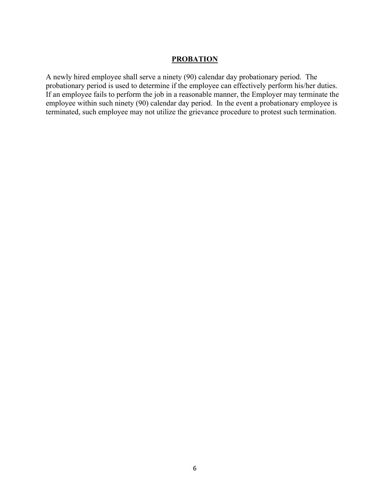#### **PROBATION**

A newly hired employee shall serve a ninety (90) calendar day probationary period. The probationary period is used to determine if the employee can effectively perform his/her duties. If an employee fails to perform the job in a reasonable manner, the Employer may terminate the employee within such ninety (90) calendar day period. In the event a probationary employee is terminated, such employee may not utilize the grievance procedure to protest such termination.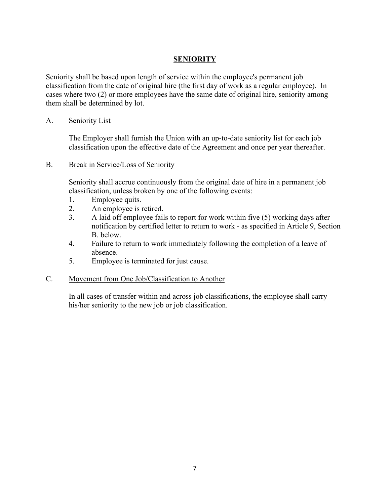## **SENIORITY**

Seniority shall be based upon length of service within the employee's permanent job classification from the date of original hire (the first day of work as a regular employee). In cases where two (2) or more employees have the same date of original hire, seniority among them shall be determined by lot.

#### A. Seniority List

The Employer shall furnish the Union with an up-to-date seniority list for each job classification upon the effective date of the Agreement and once per year thereafter.

B. Break in Service/Loss of Seniority

Seniority shall accrue continuously from the original date of hire in a permanent job classification, unless broken by one of the following events:

- 1. Employee quits.
- 2. An employee is retired.
- 3. A laid off employee fails to report for work within five (5) working days after notification by certified letter to return to work - as specified in Article 9, Section B. below.
- 4. Failure to return to work immediately following the completion of a leave of absence.
- 5. Employee is terminated for just cause.

#### C. Movement from One Job/Classification to Another

In all cases of transfer within and across job classifications, the employee shall carry his/her seniority to the new job or job classification.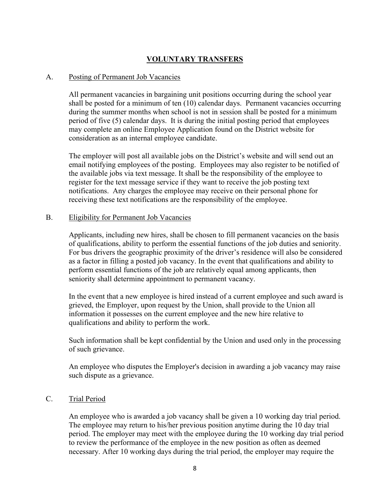# **VOLUNTARY TRANSFERS**

#### A. Posting of Permanent Job Vacancies

All permanent vacancies in bargaining unit positions occurring during the school year shall be posted for a minimum of ten (10) calendar days. Permanent vacancies occurring during the summer months when school is not in session shall be posted for a minimum period of five (5) calendar days. It is during the initial posting period that employees may complete an online Employee Application found on the District website for consideration as an internal employee candidate.

The employer will post all available jobs on the District's website and will send out an email notifying employees of the posting. Employees may also register to be notified of the available jobs via text message. It shall be the responsibility of the employee to register for the text message service if they want to receive the job posting text notifications. Any charges the employee may receive on their personal phone for receiving these text notifications are the responsibility of the employee.

#### B. Eligibility for Permanent Job Vacancies

Applicants, including new hires, shall be chosen to fill permanent vacancies on the basis of qualifications, ability to perform the essential functions of the job duties and seniority. For bus drivers the geographic proximity of the driver's residence will also be considered as a factor in filling a posted job vacancy. In the event that qualifications and ability to perform essential functions of the job are relatively equal among applicants, then seniority shall determine appointment to permanent vacancy.

In the event that a new employee is hired instead of a current employee and such award is grieved, the Employer, upon request by the Union, shall provide to the Union all information it possesses on the current employee and the new hire relative to qualifications and ability to perform the work.

Such information shall be kept confidential by the Union and used only in the processing of such grievance.

An employee who disputes the Employer's decision in awarding a job vacancy may raise such dispute as a grievance.

## C. Trial Period

An employee who is awarded a job vacancy shall be given a 10 working day trial period. The employee may return to his/her previous position anytime during the 10 day trial period. The employer may meet with the employee during the 10 working day trial period to review the performance of the employee in the new position as often as deemed necessary. After 10 working days during the trial period, the employer may require the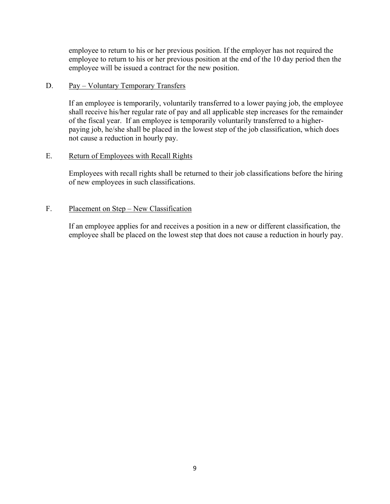employee to return to his or her previous position. If the employer has not required the employee to return to his or her previous position at the end of the 10 day period then the employee will be issued a contract for the new position.

#### D. Pay – Voluntary Temporary Transfers

If an employee is temporarily, voluntarily transferred to a lower paying job, the employee shall receive his/her regular rate of pay and all applicable step increases for the remainder of the fiscal year. If an employee is temporarily voluntarily transferred to a higherpaying job, he/she shall be placed in the lowest step of the job classification, which does not cause a reduction in hourly pay.

#### E. Return of Employees with Recall Rights

Employees with recall rights shall be returned to their job classifications before the hiring of new employees in such classifications.

#### F. Placement on Step – New Classification

If an employee applies for and receives a position in a new or different classification, the employee shall be placed on the lowest step that does not cause a reduction in hourly pay.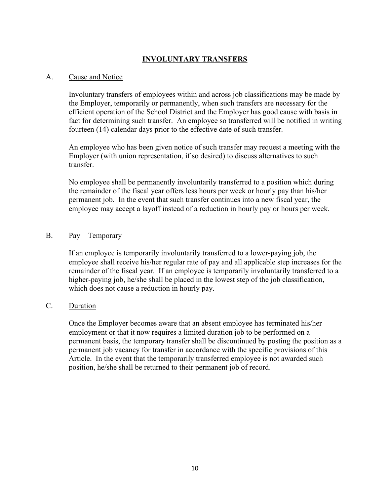# **INVOLUNTARY TRANSFERS**

#### A. Cause and Notice

Involuntary transfers of employees within and across job classifications may be made by the Employer, temporarily or permanently, when such transfers are necessary for the efficient operation of the School District and the Employer has good cause with basis in fact for determining such transfer. An employee so transferred will be notified in writing fourteen (14) calendar days prior to the effective date of such transfer.

An employee who has been given notice of such transfer may request a meeting with the Employer (with union representation, if so desired) to discuss alternatives to such transfer.

No employee shall be permanently involuntarily transferred to a position which during the remainder of the fiscal year offers less hours per week or hourly pay than his/her permanent job. In the event that such transfer continues into a new fiscal year, the employee may accept a layoff instead of a reduction in hourly pay or hours per week.

#### B. Pay – Temporary

If an employee is temporarily involuntarily transferred to a lower-paying job, the employee shall receive his/her regular rate of pay and all applicable step increases for the remainder of the fiscal year. If an employee is temporarily involuntarily transferred to a higher-paying job, he/she shall be placed in the lowest step of the job classification, which does not cause a reduction in hourly pay.

## C. Duration

Once the Employer becomes aware that an absent employee has terminated his/her employment or that it now requires a limited duration job to be performed on a permanent basis, the temporary transfer shall be discontinued by posting the position as a permanent job vacancy for transfer in accordance with the specific provisions of this Article. In the event that the temporarily transferred employee is not awarded such position, he/she shall be returned to their permanent job of record.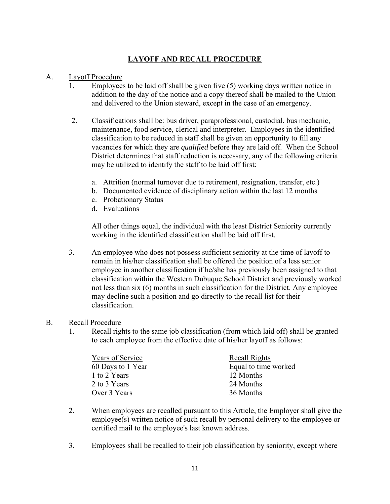# **LAYOFF AND RECALL PROCEDURE**

## A. Layoff Procedure

- 1. Employees to be laid off shall be given five (5) working days written notice in addition to the day of the notice and a copy thereof shall be mailed to the Union and delivered to the Union steward, except in the case of an emergency.
- 2. Classifications shall be: bus driver, paraprofessional, custodial, bus mechanic, maintenance, food service, clerical and interpreter. Employees in the identified classification to be reduced in staff shall be given an opportunity to fill any vacancies for which they are *qualified* before they are laid off. When the School District determines that staff reduction is necessary, any of the following criteria may be utilized to identify the staff to be laid off first:
	- a. Attrition (normal turnover due to retirement, resignation, transfer, etc.)
	- b. Documented evidence of disciplinary action within the last 12 months
	- c. Probationary Status
	- d. Evaluations

All other things equal, the individual with the least District Seniority currently working in the identified classification shall be laid off first.

3. An employee who does not possess sufficient seniority at the time of layoff to remain in his/her classification shall be offered the position of a less senior employee in another classification if he/she has previously been assigned to that classification within the Western Dubuque School District and previously worked not less than six (6) months in such classification for the District. Any employee may decline such a position and go directly to the recall list for their classification.

#### B. Recall Procedure

1. Recall rights to the same job classification (from which laid off) shall be granted to each employee from the effective date of his/her layoff as follows:

| Years of Service  | Recall Rights        |
|-------------------|----------------------|
| 60 Days to 1 Year | Equal to time worked |
| 1 to 2 Years      | 12 Months            |
| 2 to 3 Years      | 24 Months            |
| Over 3 Years      | 36 Months            |

- 2. When employees are recalled pursuant to this Article, the Employer shall give the employee(s) written notice of such recall by personal delivery to the employee or certified mail to the employee's last known address.
- 3. Employees shall be recalled to their job classification by seniority, except where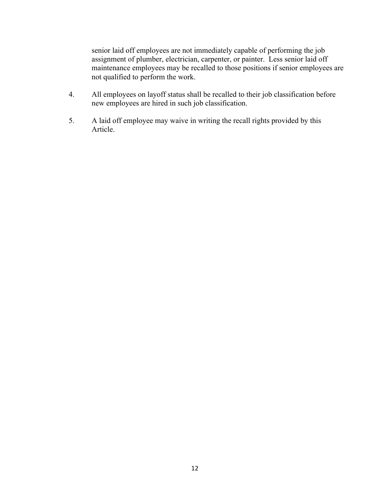senior laid off employees are not immediately capable of performing the job assignment of plumber, electrician, carpenter, or painter. Less senior laid off maintenance employees may be recalled to those positions if senior employees are not qualified to perform the work.

- 4. All employees on layoff status shall be recalled to their job classification before new employees are hired in such job classification.
- 5. A laid off employee may waive in writing the recall rights provided by this Article.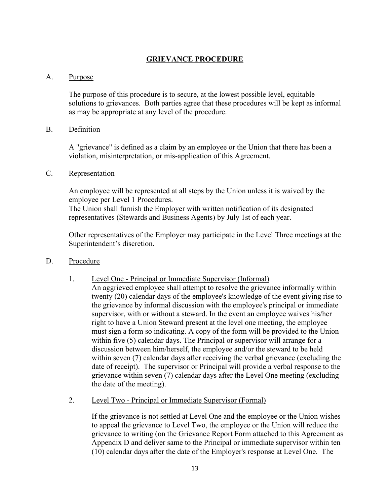## **GRIEVANCE PROCEDURE**

#### A. Purpose

The purpose of this procedure is to secure, at the lowest possible level, equitable solutions to grievances. Both parties agree that these procedures will be kept as informal as may be appropriate at any level of the procedure.

#### B. Definition

A "grievance" is defined as a claim by an employee or the Union that there has been a violation, misinterpretation, or mis-application of this Agreement.

#### C. Representation

An employee will be represented at all steps by the Union unless it is waived by the employee per Level 1 Procedures.

The Union shall furnish the Employer with written notification of its designated representatives (Stewards and Business Agents) by July 1st of each year.

Other representatives of the Employer may participate in the Level Three meetings at the Superintendent's discretion.

#### D. Procedure

- 1. Level One Principal or Immediate Supervisor (Informal)
	- An aggrieved employee shall attempt to resolve the grievance informally within twenty (20) calendar days of the employee's knowledge of the event giving rise to the grievance by informal discussion with the employee's principal or immediate supervisor, with or without a steward. In the event an employee waives his/her right to have a Union Steward present at the level one meeting, the employee must sign a form so indicating. A copy of the form will be provided to the Union within five (5) calendar days. The Principal or supervisor will arrange for a discussion between him/herself, the employee and/or the steward to be held within seven (7) calendar days after receiving the verbal grievance (excluding the date of receipt). The supervisor or Principal will provide a verbal response to the grievance within seven (7) calendar days after the Level One meeting (excluding the date of the meeting).
- 2. Level Two Principal or Immediate Supervisor (Formal)

If the grievance is not settled at Level One and the employee or the Union wishes to appeal the grievance to Level Two, the employee or the Union will reduce the grievance to writing (on the Grievance Report Form attached to this Agreement as Appendix D and deliver same to the Principal or immediate supervisor within ten (10) calendar days after the date of the Employer's response at Level One. The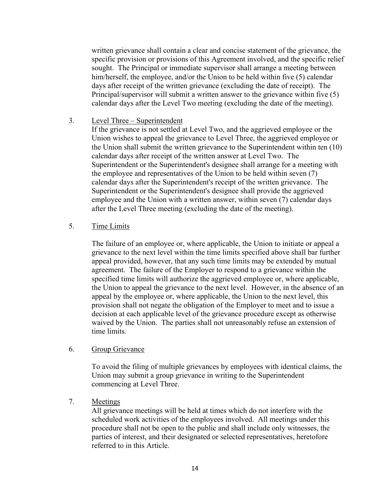written grievance shall contain a clear and concise statement of the grievance, the specific provision or provisions of this Agreement involved, and the specific relief sought. The Principal or immediate supervisor shall arrange a meeting between him/herself, the employee, and/or the Union to be held within five (5) calendar days after receipt of the written grievance (excluding the date of receipt). The Principal/supervisor will submit a written answer to the grievance within five (5) calendar days after the Level Two meeting (excluding the date of the meeting).

#### 3. Level Three – Superintendent

If the grievance is not settled at Level Two, and the aggrieved employee or the Union wishes to appeal the grievance to Level Three, the aggrieved employee or the Union shall submit the written grievance to the Superintendent within ten (10) calendar days after receipt of the written answer at Level Two. The Superintendent or the Superintendent's designee shall arrange for a meeting with the employee and representatives of the Union to be held within seven (7) calendar days after the Superintendent's receipt of the written grievance. The Superintendent or the Superintendent's designee shall provide the aggrieved employee and the Union with a written answer, within seven (7) calendar days after the Level Three meeting (excluding the date of the meeting).

#### 5. Time Limits

The failure of an employee or, where applicable, the Union to initiate or appeal a grievance to the next level within the time limits specified above shall bar further appeal provided, however, that any such time limits may be extended by mutual agreement. The failure of the Employer to respond to a grievance within the specified time limits will authorize the aggrieved employee or, where applicable, the Union to appeal the grievance to the next level. However, in the absence of an appeal by the employee or, where applicable, the Union to the next level, this provision shall not negate the obligation of the Employer to meet and to issue a decision at each applicable level of the grievance procedure except as otherwise waived by the Union. The parties shall not unreasonably refuse an extension of time limits.

#### 6. Group Grievance

To avoid the filing of multiple grievances by employees with identical claims, the Union may submit a group grievance in writing to the Superintendent commencing at Level Three.

#### 7. Meetings

All grievance meetings will be held at times which do not interfere with the scheduled work activities of the employees involved. All meetings under this procedure shall not be open to the public and shall include only witnesses, the parties of interest, and their designated or selected representatives, heretofore referred to in this Article.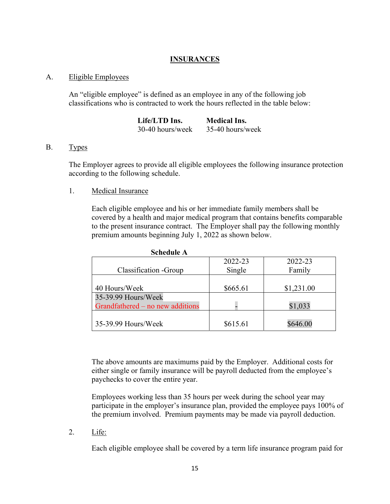## **INSURANCES**

#### A. Eligible Employees

An "eligible employee" is defined as an employee in any of the following job classifications who is contracted to work the hours reflected in the table below:

| Life/LTD Ins.    | <b>Medical Ins.</b> |
|------------------|---------------------|
| 30-40 hours/week | 35-40 hours/week    |

#### B. Types

The Employer agrees to provide all eligible employees the following insurance protection according to the following schedule.

#### 1. Medical Insurance

Each eligible employee and his or her immediate family members shall be covered by a health and major medical program that contains benefits comparable to the present insurance contract. The Employer shall pay the following monthly premium amounts beginning July 1, 2022 as shown below.

| Classification - Group                                  | 2022-23<br>Single | 2022-23<br>Family |
|---------------------------------------------------------|-------------------|-------------------|
| 40 Hours/Week                                           | \$665.61          | \$1,231.00        |
| 35-39.99 Hours/Week<br>Grandfathered – no new additions |                   | \$1,033           |
| 35-39.99 Hours/Week                                     | \$615.61          | \$646.00          |

**Schedule A** 

The above amounts are maximums paid by the Employer. Additional costs for either single or family insurance will be payroll deducted from the employee's paychecks to cover the entire year.

Employees working less than 35 hours per week during the school year may participate in the employer's insurance plan, provided the employee pays 100% of the premium involved. Premium payments may be made via payroll deduction.

2. Life:

Each eligible employee shall be covered by a term life insurance program paid for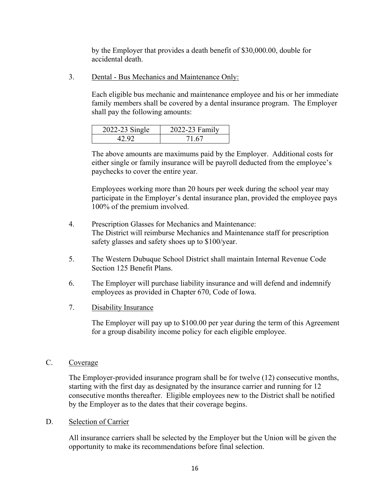by the Employer that provides a death benefit of \$30,000.00, double for accidental death.

3. Dental - Bus Mechanics and Maintenance Only:

Each eligible bus mechanic and maintenance employee and his or her immediate family members shall be covered by a dental insurance program. The Employer shall pay the following amounts:

| 2022-23 Single | 2022-23 Family |
|----------------|----------------|
|                |                |

The above amounts are maximums paid by the Employer. Additional costs for either single or family insurance will be payroll deducted from the employee's paychecks to cover the entire year.

Employees working more than 20 hours per week during the school year may participate in the Employer's dental insurance plan, provided the employee pays 100% of the premium involved.

- 4. Prescription Glasses for Mechanics and Maintenance: The District will reimburse Mechanics and Maintenance staff for prescription safety glasses and safety shoes up to \$100/year.
- 5. The Western Dubuque School District shall maintain Internal Revenue Code Section 125 Benefit Plans.
- 6. The Employer will purchase liability insurance and will defend and indemnify employees as provided in Chapter 670, Code of Iowa.
- 7. Disability Insurance

The Employer will pay up to \$100.00 per year during the term of this Agreement for a group disability income policy for each eligible employee.

#### C. Coverage

The Employer-provided insurance program shall be for twelve (12) consecutive months, starting with the first day as designated by the insurance carrier and running for 12 consecutive months thereafter. Eligible employees new to the District shall be notified by the Employer as to the dates that their coverage begins.

#### D. Selection of Carrier

All insurance carriers shall be selected by the Employer but the Union will be given the opportunity to make its recommendations before final selection.